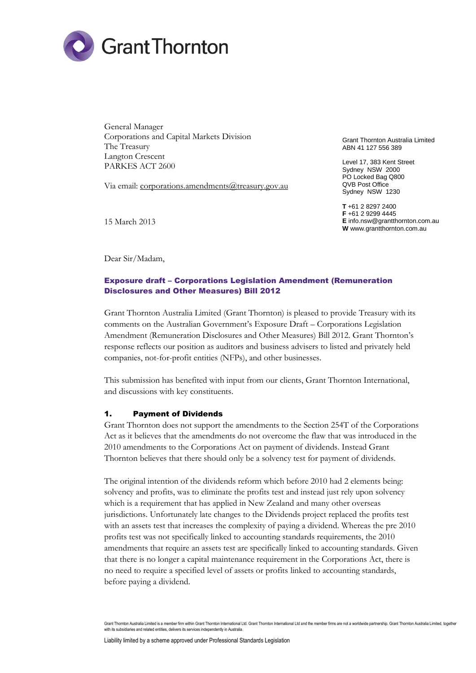

General Manager Corporations and Capital Markets Division The Treasury Langton Crescent PARKES ACT 2600

Via email: corporations.amendments@treasury.gov.au

Grant Thornton Australia Limited ABN 41 127 556 389

Level 17, 383 Kent Street Sydney NSW 2000 PO Locked Bag Q800 QVB Post Office Sydney NSW 1230

**T** +61 2 8297 2400 **F** +61 2 9299 4445 **E** info.nsw@grantthornton.com.au **W** www.grantthornton.com.au

15 March 2013

Dear Sir/Madam,

## Exposure draft – Corporations Legislation Amendment (Remuneration Disclosures and Other Measures) Bill 2012

Grant Thornton Australia Limited (Grant Thornton) is pleased to provide Treasury with its comments on the Australian Government's Exposure Draft – Corporations Legislation Amendment (Remuneration Disclosures and Other Measures) Bill 2012. Grant Thornton's response reflects our position as auditors and business advisers to listed and privately held companies, not-for-profit entities (NFPs), and other businesses.

This submission has benefited with input from our clients, Grant Thornton International, and discussions with key constituents.

#### 1. Payment of Dividends

Grant Thornton does not support the amendments to the Section 254T of the Corporations Act as it believes that the amendments do not overcome the flaw that was introduced in the 2010 amendments to the Corporations Act on payment of dividends. Instead Grant Thornton believes that there should only be a solvency test for payment of dividends.

The original intention of the dividends reform which before 2010 had 2 elements being: solvency and profits, was to eliminate the profits test and instead just rely upon solvency which is a requirement that has applied in New Zealand and many other overseas jurisdictions. Unfortunately late changes to the Dividends project replaced the profits test with an assets test that increases the complexity of paying a dividend. Whereas the pre 2010 profits test was not specifically linked to accounting standards requirements, the 2010 amendments that require an assets test are specifically linked to accounting standards. Given that there is no longer a capital maintenance requirement in the Corporations Act, there is no need to require a specified level of assets or profits linked to accounting standards, before paying a dividend.

Grant Thornton Australia Limited is a member firm within Grant Thornton International Ltd. Grant Thornton International Ltd and the member firms are not a worldwide partnership. Grant Thornton Australia Limited, together with its subsidiaries and related entities, delivers its services independently in Australia